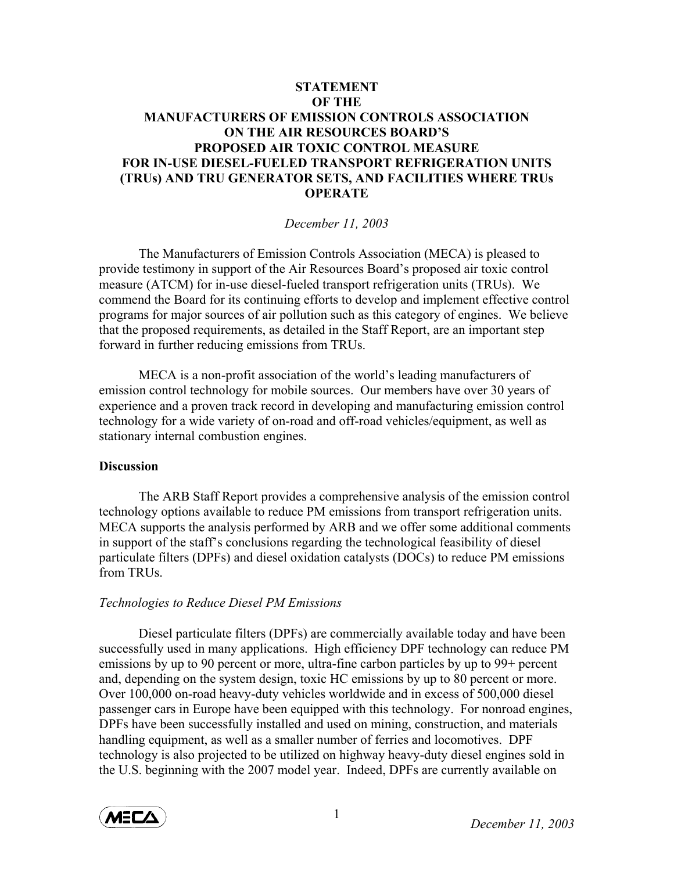# **STATEMENT OF THE MANUFACTURERS OF EMISSION CONTROLS ASSOCIATION ON THE AIR RESOURCES BOARD'S PROPOSED AIR TOXIC CONTROL MEASURE FOR IN-USE DIESEL-FUELED TRANSPORT REFRIGERATION UNITS (TRUs) AND TRU GENERATOR SETS, AND FACILITIES WHERE TRUs OPERATE**

*December 11, 2003* 

 The Manufacturers of Emission Controls Association (MECA) is pleased to provide testimony in support of the Air Resources Board's proposed air toxic control measure (ATCM) for in-use diesel-fueled transport refrigeration units (TRUs). We commend the Board for its continuing efforts to develop and implement effective control programs for major sources of air pollution such as this category of engines. We believe that the proposed requirements, as detailed in the Staff Report, are an important step forward in further reducing emissions from TRUs.

MECA is a non-profit association of the world's leading manufacturers of emission control technology for mobile sources. Our members have over 30 years of experience and a proven track record in developing and manufacturing emission control technology for a wide variety of on-road and off-road vehicles/equipment, as well as stationary internal combustion engines.

#### **Discussion**

The ARB Staff Report provides a comprehensive analysis of the emission control technology options available to reduce PM emissions from transport refrigeration units. MECA supports the analysis performed by ARB and we offer some additional comments in support of the staff's conclusions regarding the technological feasibility of diesel particulate filters (DPFs) and diesel oxidation catalysts (DOCs) to reduce PM emissions from TRUs.

#### *Technologies to Reduce Diesel PM Emissions*

Diesel particulate filters (DPFs) are commercially available today and have been successfully used in many applications. High efficiency DPF technology can reduce PM emissions by up to 90 percent or more, ultra-fine carbon particles by up to 99+ percent and, depending on the system design, toxic HC emissions by up to 80 percent or more. Over 100,000 on-road heavy-duty vehicles worldwide and in excess of 500,000 diesel passenger cars in Europe have been equipped with this technology. For nonroad engines, DPFs have been successfully installed and used on mining, construction, and materials handling equipment, as well as a smaller number of ferries and locomotives. DPF technology is also projected to be utilized on highway heavy-duty diesel engines sold in the U.S. beginning with the 2007 model year. Indeed, DPFs are currently available on

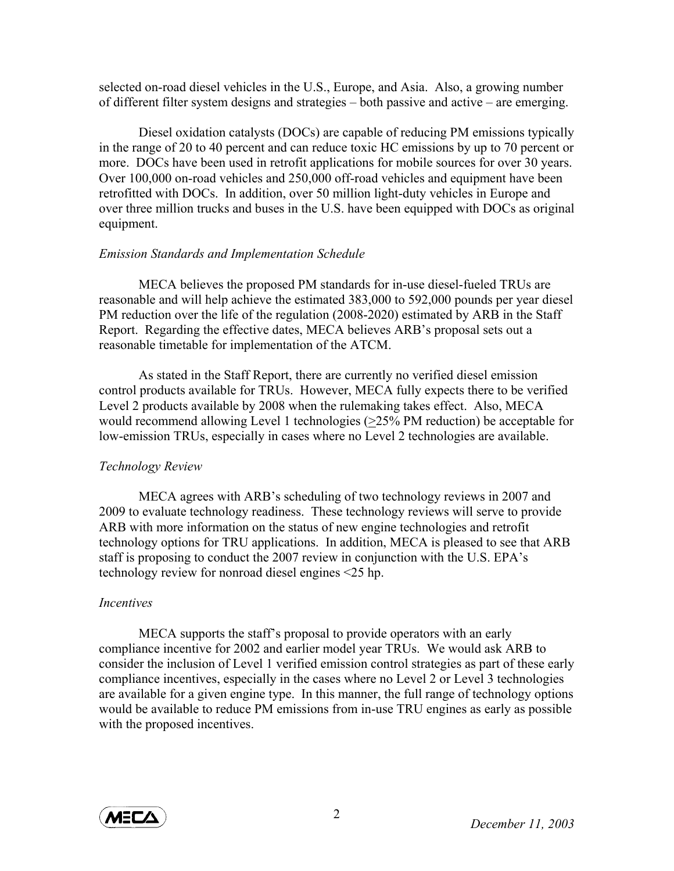selected on-road diesel vehicles in the U.S., Europe, and Asia. Also, a growing number of different filter system designs and strategies – both passive and active – are emerging.

Diesel oxidation catalysts (DOCs) are capable of reducing PM emissions typically in the range of 20 to 40 percent and can reduce toxic HC emissions by up to 70 percent or more. DOCs have been used in retrofit applications for mobile sources for over 30 years. Over 100,000 on-road vehicles and 250,000 off-road vehicles and equipment have been retrofitted with DOCs. In addition, over 50 million light-duty vehicles in Europe and over three million trucks and buses in the U.S. have been equipped with DOCs as original equipment.

### *Emission Standards and Implementation Schedule*

MECA believes the proposed PM standards for in-use diesel-fueled TRUs are reasonable and will help achieve the estimated 383,000 to 592,000 pounds per year diesel PM reduction over the life of the regulation (2008-2020) estimated by ARB in the Staff Report. Regarding the effective dates, MECA believes ARB's proposal sets out a reasonable timetable for implementation of the ATCM.

 As stated in the Staff Report, there are currently no verified diesel emission control products available for TRUs. However, MECA fully expects there to be verified Level 2 products available by 2008 when the rulemaking takes effect. Also, MECA would recommend allowing Level 1 technologies (>25% PM reduction) be acceptable for low-emission TRUs, especially in cases where no Level 2 technologies are available.

## *Technology Review*

MECA agrees with ARB's scheduling of two technology reviews in 2007 and 2009 to evaluate technology readiness. These technology reviews will serve to provide ARB with more information on the status of new engine technologies and retrofit technology options for TRU applications. In addition, MECA is pleased to see that ARB staff is proposing to conduct the 2007 review in conjunction with the U.S. EPA's technology review for nonroad diesel engines <25 hp.

## *Incentives*

MECA supports the staff's proposal to provide operators with an early compliance incentive for 2002 and earlier model year TRUs. We would ask ARB to consider the inclusion of Level 1 verified emission control strategies as part of these early compliance incentives, especially in the cases where no Level 2 or Level 3 technologies are available for a given engine type. In this manner, the full range of technology options would be available to reduce PM emissions from in-use TRU engines as early as possible with the proposed incentives.